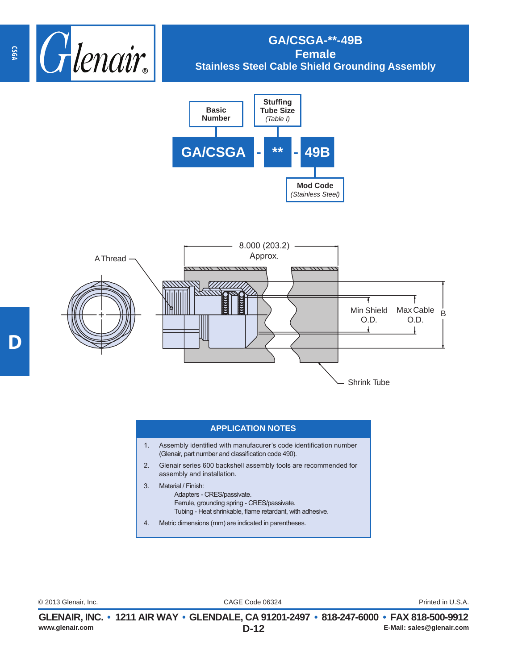

## **GA/CSGA-\*\*-49B Female Stainless Steel Cable Shield Grounding Assembly**





## **APPLICATION NOTES**

- 1. Assembly identified with manufacurer's code identification number (Glenair, part number and classification code 490).
- 2. Glenair series 600 backshell assembly tools are recommended for assembly and installation.
- 3. Material / Finish: Adapters - CRES/passivate. Ferrule, grounding spring - CRES/passivate. Tubing - Heat shrinkable, flame retardant, with adhesive.
- 4. Metric dimensions (mm) are indicated in parentheses.

CAGE Code 06324 © 2013 Glenair, Inc. Printed in U.S.A.